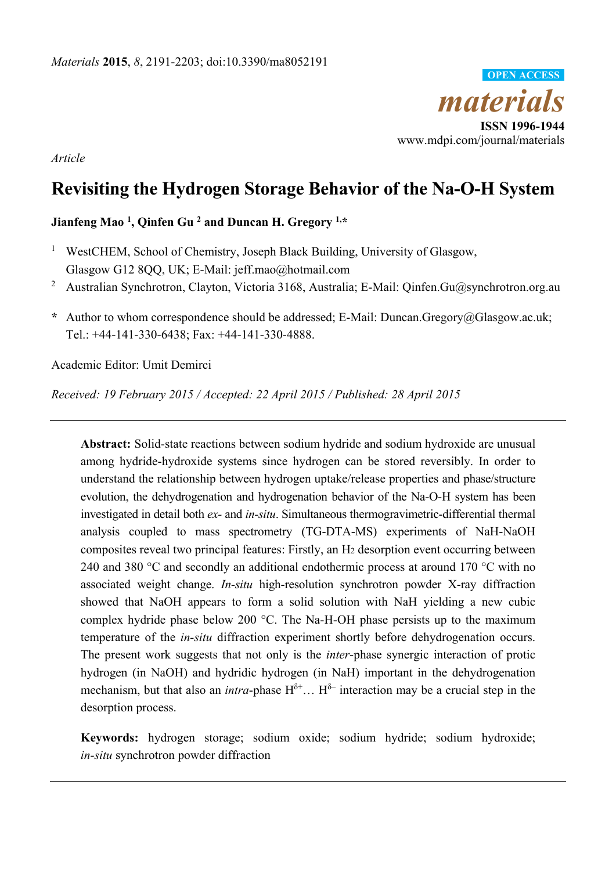

*Article* 

# **Revisiting the Hydrogen Storage Behavior of the Na-O-H System**

# **Jianfeng Mao 1, Qinfen Gu 2 and Duncan H. Gregory 1,\***

- <sup>1</sup> WestCHEM, School of Chemistry, Joseph Black Building, University of Glasgow, Glasgow G12 8QQ, UK; E-Mail: jeff.mao@hotmail.com
- 2 Australian Synchrotron, Clayton, Victoria 3168, Australia; E-Mail: Qinfen.Gu@synchrotron.org.au
- **\*** Author to whom correspondence should be addressed; E-Mail: Duncan.Gregory@Glasgow.ac.uk; Tel.: +44-141-330-6438; Fax: +44-141-330-4888.

Academic Editor: Umit Demirci

*Received: 19 February 2015 / Accepted: 22 April 2015 / Published: 28 April 2015* 

**Abstract:** Solid-state reactions between sodium hydride and sodium hydroxide are unusual among hydride-hydroxide systems since hydrogen can be stored reversibly. In order to understand the relationship between hydrogen uptake/release properties and phase/structure evolution, the dehydrogenation and hydrogenation behavior of the Na-O-H system has been investigated in detail both *ex-* and *in-situ*. Simultaneous thermogravimetric-differential thermal analysis coupled to mass spectrometry (TG-DTA-MS) experiments of NaH-NaOH composites reveal two principal features: Firstly, an H2 desorption event occurring between 240 and 380 °C and secondly an additional endothermic process at around 170 °C with no associated weight change. *In-situ* high-resolution synchrotron powder X-ray diffraction showed that NaOH appears to form a solid solution with NaH yielding a new cubic complex hydride phase below 200 °C. The Na-H-OH phase persists up to the maximum temperature of the *in-situ* diffraction experiment shortly before dehydrogenation occurs. The present work suggests that not only is the *inter*-phase synergic interaction of protic hydrogen (in NaOH) and hydridic hydrogen (in NaH) important in the dehydrogenation mechanism, but that also an *intra*-phase  $H^{\delta+}$ ...  $H^{\delta-}$  interaction may be a crucial step in the desorption process.

**Keywords:** hydrogen storage; sodium oxide; sodium hydride; sodium hydroxide; *in-situ* synchrotron powder diffraction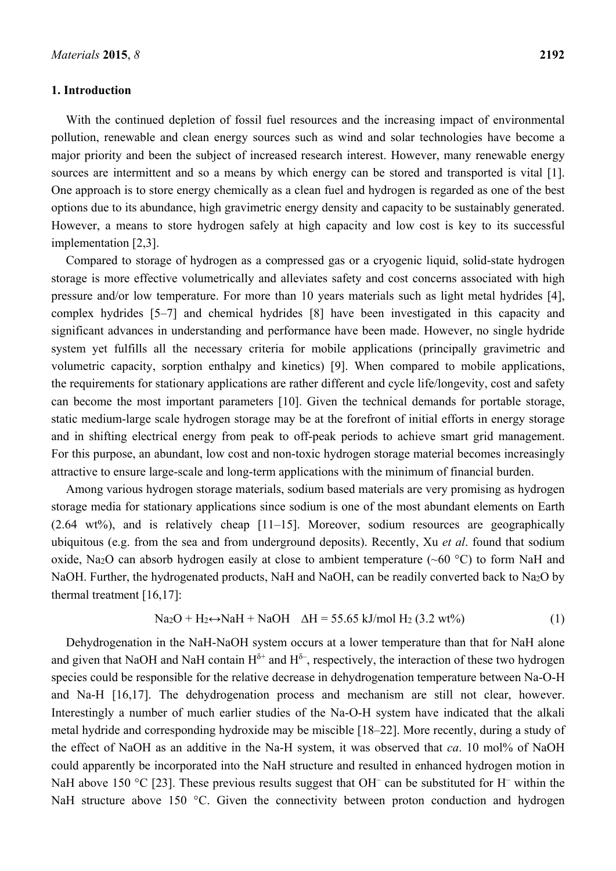## **1. Introduction**

With the continued depletion of fossil fuel resources and the increasing impact of environmental pollution, renewable and clean energy sources such as wind and solar technologies have become a major priority and been the subject of increased research interest. However, many renewable energy sources are intermittent and so a means by which energy can be stored and transported is vital [1]. One approach is to store energy chemically as a clean fuel and hydrogen is regarded as one of the best options due to its abundance, high gravimetric energy density and capacity to be sustainably generated. However, a means to store hydrogen safely at high capacity and low cost is key to its successful implementation [2,3].

Compared to storage of hydrogen as a compressed gas or a cryogenic liquid, solid-state hydrogen storage is more effective volumetrically and alleviates safety and cost concerns associated with high pressure and/or low temperature. For more than 10 years materials such as light metal hydrides [4], complex hydrides [5–7] and chemical hydrides [8] have been investigated in this capacity and significant advances in understanding and performance have been made. However, no single hydride system yet fulfills all the necessary criteria for mobile applications (principally gravimetric and volumetric capacity, sorption enthalpy and kinetics) [9]. When compared to mobile applications, the requirements for stationary applications are rather different and cycle life/longevity, cost and safety can become the most important parameters [10]. Given the technical demands for portable storage, static medium-large scale hydrogen storage may be at the forefront of initial efforts in energy storage and in shifting electrical energy from peak to off-peak periods to achieve smart grid management. For this purpose, an abundant, low cost and non-toxic hydrogen storage material becomes increasingly attractive to ensure large-scale and long-term applications with the minimum of financial burden.

Among various hydrogen storage materials, sodium based materials are very promising as hydrogen storage media for stationary applications since sodium is one of the most abundant elements on Earth (2.64 wt%), and is relatively cheap [11–15]. Moreover, sodium resources are geographically ubiquitous (e.g. from the sea and from underground deposits). Recently, Xu *et al*. found that sodium oxide, Na<sub>2</sub>O can absorb hydrogen easily at close to ambient temperature (~60 °C) to form NaH and NaOH. Further, the hydrogenated products, NaH and NaOH, can be readily converted back to Na2O by thermal treatment [16,17]:

$$
Na2O + H2 \leftrightarrow NaH + NaOH \quad \Delta H = 55.65 \text{ kJ/mol H}2 (3.2 \text{ wt%)}
$$
 (1)

Dehydrogenation in the NaH-NaOH system occurs at a lower temperature than that for NaH alone and given that NaOH and NaH contain  $H^{\delta^+}$  and  $H^{\delta^-}$ , respectively, the interaction of these two hydrogen species could be responsible for the relative decrease in dehydrogenation temperature between Na-O-H and Na-H [16,17]. The dehydrogenation process and mechanism are still not clear, however. Interestingly a number of much earlier studies of the Na-O-H system have indicated that the alkali metal hydride and corresponding hydroxide may be miscible [18–22]. More recently, during a study of the effect of NaOH as an additive in the Na-H system, it was observed that *ca*. 10 mol% of NaOH could apparently be incorporated into the NaH structure and resulted in enhanced hydrogen motion in NaH above 150  $^{\circ}$ C [23]. These previous results suggest that OH<sup>-</sup> can be substituted for H<sup>-</sup> within the NaH structure above 150 °C. Given the connectivity between proton conduction and hydrogen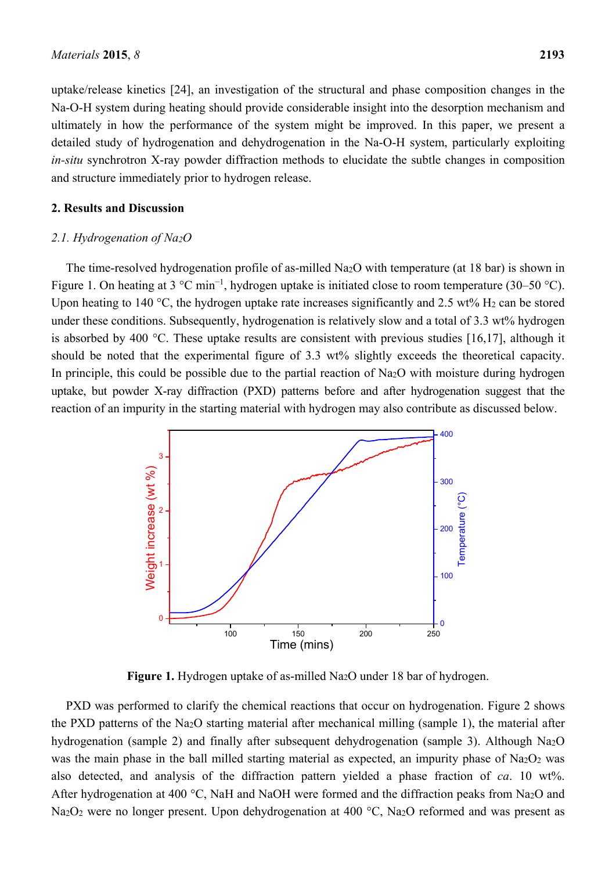uptake/release kinetics [24], an investigation of the structural and phase composition changes in the Na-O-H system during heating should provide considerable insight into the desorption mechanism and ultimately in how the performance of the system might be improved. In this paper, we present a detailed study of hydrogenation and dehydrogenation in the Na-O-H system, particularly exploiting *in-situ* synchrotron X-ray powder diffraction methods to elucidate the subtle changes in composition and structure immediately prior to hydrogen release.

## **2. Results and Discussion**

## *2.1. Hydrogenation of Na2O*

The time-resolved hydrogenation profile of as-milled Na2O with temperature (at 18 bar) is shown in Figure 1. On heating at 3  $^{\circ}$ C min<sup>-1</sup>, hydrogen uptake is initiated close to room temperature (30–50  $^{\circ}$ C). Upon heating to 140 °C, the hydrogen uptake rate increases significantly and 2.5 wt%  $H_2$  can be stored under these conditions. Subsequently, hydrogenation is relatively slow and a total of 3.3 wt% hydrogen is absorbed by 400 °C. These uptake results are consistent with previous studies [16,17], although it should be noted that the experimental figure of 3.3 wt% slightly exceeds the theoretical capacity. In principle, this could be possible due to the partial reaction of Na<sub>2</sub>O with moisture during hydrogen uptake, but powder X-ray diffraction (PXD) patterns before and after hydrogenation suggest that the reaction of an impurity in the starting material with hydrogen may also contribute as discussed below.



**Figure 1.** Hydrogen uptake of as-milled Na<sub>2</sub>O under 18 bar of hydrogen.

PXD was performed to clarify the chemical reactions that occur on hydrogenation. Figure 2 shows the PXD patterns of the Na2O starting material after mechanical milling (sample 1), the material after hydrogenation (sample 2) and finally after subsequent dehydrogenation (sample 3). Although Na2O was the main phase in the ball milled starting material as expected, an impurity phase of Na<sub>2</sub>O<sub>2</sub> was also detected, and analysis of the diffraction pattern yielded a phase fraction of *ca*. 10 wt%. After hydrogenation at 400 °C, NaH and NaOH were formed and the diffraction peaks from Na<sub>2</sub>O and Na<sub>2</sub>O<sub>2</sub> were no longer present. Upon dehydrogenation at 400 °C, Na<sub>2</sub>O reformed and was present as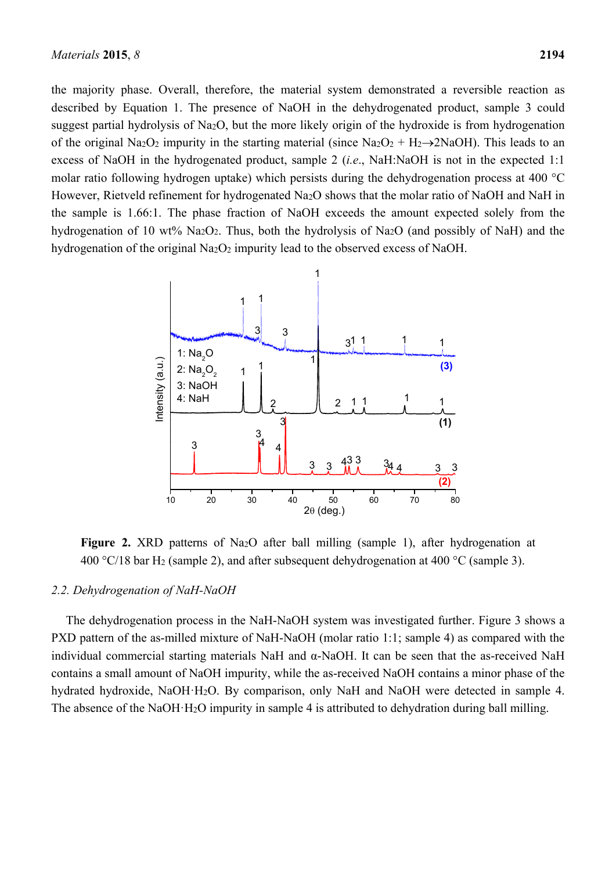the majority phase. Overall, therefore, the material system demonstrated a reversible reaction as described by Equation 1. The presence of NaOH in the dehydrogenated product, sample 3 could suggest partial hydrolysis of Na2O, but the more likely origin of the hydroxide is from hydrogenation of the original Na<sub>2</sub>O<sub>2</sub> impurity in the starting material (since Na<sub>2</sub>O<sub>2</sub> + H<sub>2</sub> $\rightarrow$ 2NaOH). This leads to an excess of NaOH in the hydrogenated product, sample 2 (*i.e*., NaH:NaOH is not in the expected 1:1 molar ratio following hydrogen uptake) which persists during the dehydrogenation process at 400 °C However, Rietveld refinement for hydrogenated Na<sub>2</sub>O shows that the molar ratio of NaOH and NaH in the sample is 1.66:1. The phase fraction of NaOH exceeds the amount expected solely from the hydrogenation of 10 wt% Na2O2. Thus, both the hydrolysis of Na2O (and possibly of NaH) and the hydrogenation of the original  $Na<sub>2</sub>O<sub>2</sub>$  impurity lead to the observed excess of NaOH.



**Figure 2.** XRD patterns of Na2O after ball milling (sample 1), after hydrogenation at 400 °C/18 bar H<sub>2</sub> (sample 2), and after subsequent dehydrogenation at 400 °C (sample 3).

## *2.2. Dehydrogenation of NaH-NaOH*

The dehydrogenation process in the NaH-NaOH system was investigated further. Figure 3 shows a PXD pattern of the as-milled mixture of NaH-NaOH (molar ratio 1:1; sample 4) as compared with the individual commercial starting materials NaH and α-NaOH. It can be seen that the as-received NaH contains a small amount of NaOH impurity, while the as-received NaOH contains a minor phase of the hydrated hydroxide, NaOH·H2O. By comparison, only NaH and NaOH were detected in sample 4. The absence of the NaOH·H2O impurity in sample 4 is attributed to dehydration during ball milling.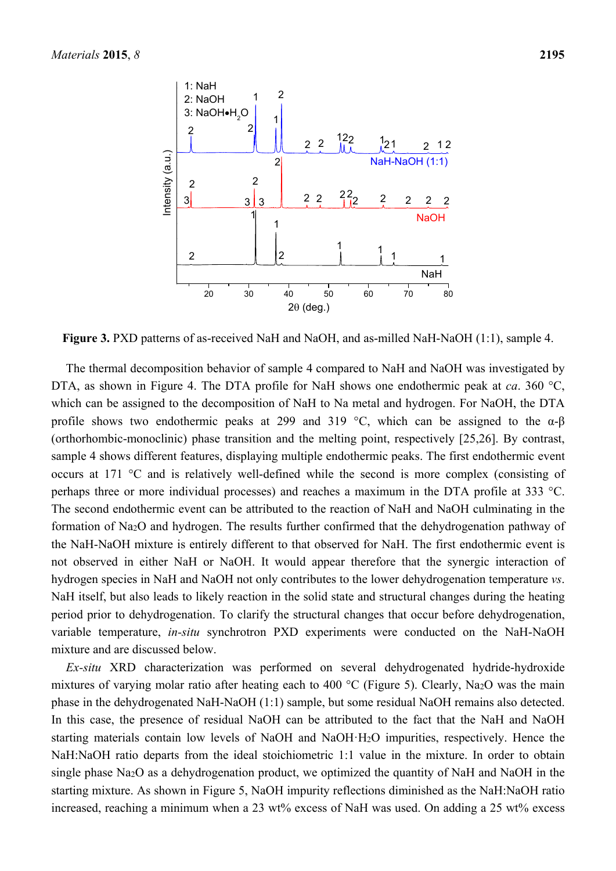

Figure 3. PXD patterns of as-received NaH and NaOH, and as-milled NaH-NaOH (1:1), sample 4.

The thermal decomposition behavior of sample 4 compared to NaH and NaOH was investigated by DTA, as shown in Figure 4. The DTA profile for NaH shows one endothermic peak at *ca*. 360 °C, which can be assigned to the decomposition of NaH to Na metal and hydrogen. For NaOH, the DTA profile shows two endothermic peaks at 299 and 319 °C, which can be assigned to the  $\alpha$ - $\beta$ (orthorhombic-monoclinic) phase transition and the melting point, respectively [25,26]. By contrast, sample 4 shows different features, displaying multiple endothermic peaks. The first endothermic event occurs at 171 °C and is relatively well-defined while the second is more complex (consisting of perhaps three or more individual processes) and reaches a maximum in the DTA profile at 333 °C. The second endothermic event can be attributed to the reaction of NaH and NaOH culminating in the formation of Na2O and hydrogen. The results further confirmed that the dehydrogenation pathway of the NaH-NaOH mixture is entirely different to that observed for NaH. The first endothermic event is not observed in either NaH or NaOH. It would appear therefore that the synergic interaction of hydrogen species in NaH and NaOH not only contributes to the lower dehydrogenation temperature *vs*. NaH itself, but also leads to likely reaction in the solid state and structural changes during the heating period prior to dehydrogenation. To clarify the structural changes that occur before dehydrogenation, variable temperature, *in-situ* synchrotron PXD experiments were conducted on the NaH-NaOH mixture and are discussed below.

*Ex-situ* XRD characterization was performed on several dehydrogenated hydride-hydroxide mixtures of varying molar ratio after heating each to 400 °C (Figure 5). Clearly, Na<sub>2</sub>O was the main phase in the dehydrogenated NaH-NaOH (1:1) sample, but some residual NaOH remains also detected. In this case, the presence of residual NaOH can be attributed to the fact that the NaH and NaOH starting materials contain low levels of NaOH and NaOH·H2O impurities, respectively. Hence the NaH:NaOH ratio departs from the ideal stoichiometric 1:1 value in the mixture. In order to obtain single phase Na2O as a dehydrogenation product, we optimized the quantity of NaH and NaOH in the starting mixture. As shown in Figure 5, NaOH impurity reflections diminished as the NaH:NaOH ratio increased, reaching a minimum when a 23 wt% excess of NaH was used. On adding a 25 wt% excess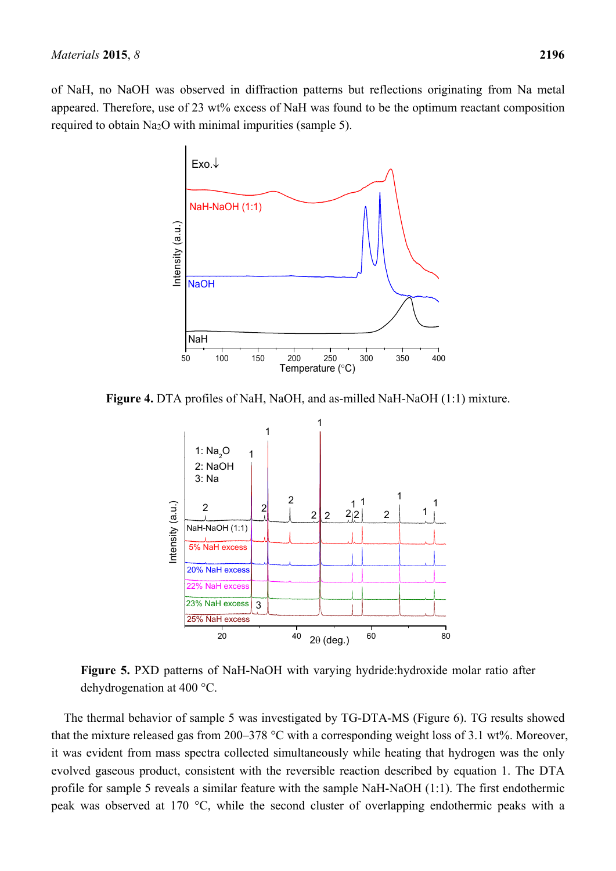of NaH, no NaOH was observed in diffraction patterns but reflections originating from Na metal appeared. Therefore, use of 23 wt% excess of NaH was found to be the optimum reactant composition required to obtain Na2O with minimal impurities (sample 5).



**Figure 4.** DTA profiles of NaH, NaOH, and as-milled NaH-NaOH (1:1) mixture.



**Figure 5.** PXD patterns of NaH-NaOH with varying hydride:hydroxide molar ratio after dehydrogenation at 400 °C.

The thermal behavior of sample 5 was investigated by TG-DTA-MS (Figure 6). TG results showed that the mixture released gas from 200–378  $^{\circ}$ C with a corresponding weight loss of 3.1 wt%. Moreover, it was evident from mass spectra collected simultaneously while heating that hydrogen was the only evolved gaseous product, consistent with the reversible reaction described by equation 1. The DTA profile for sample 5 reveals a similar feature with the sample NaH-NaOH (1:1). The first endothermic peak was observed at 170 °C, while the second cluster of overlapping endothermic peaks with a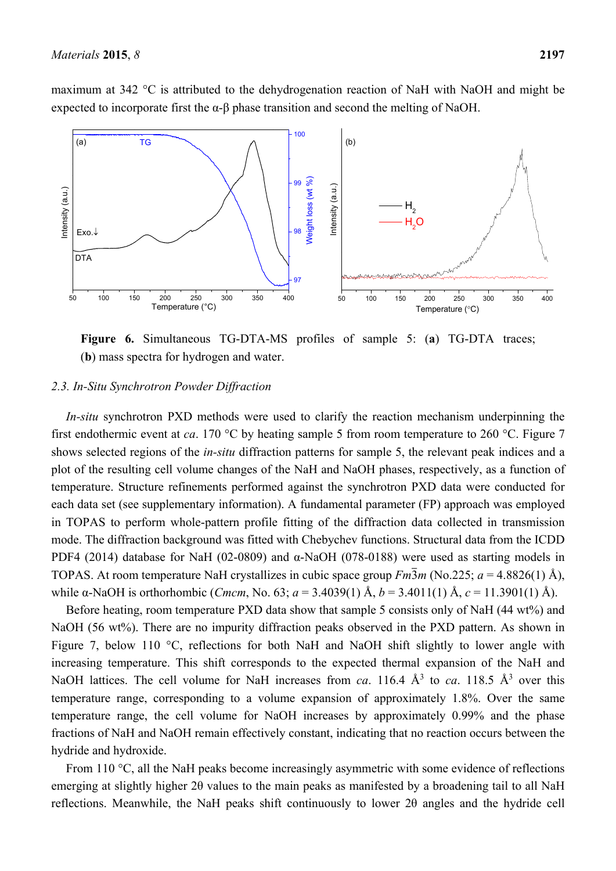

**Figure 6.** Simultaneous TG-DTA-MS profiles of sample 5: (**a**) TG-DTA traces; (**b**) mass spectra for hydrogen and water.

#### *2.3. In-Situ Synchrotron Powder Diffraction*

*In-situ* synchrotron PXD methods were used to clarify the reaction mechanism underpinning the first endothermic event at *ca*. 170 °C by heating sample 5 from room temperature to 260 °C. Figure 7 shows selected regions of the *in-situ* diffraction patterns for sample 5, the relevant peak indices and a plot of the resulting cell volume changes of the NaH and NaOH phases, respectively, as a function of temperature. Structure refinements performed against the synchrotron PXD data were conducted for each data set (see supplementary information). A fundamental parameter (FP) approach was employed in TOPAS to perform whole-pattern profile fitting of the diffraction data collected in transmission mode. The diffraction background was fitted with Chebychev functions. Structural data from the ICDD PDF4 (2014) database for NaH (02-0809) and α-NaOH (078-0188) were used as starting models in TOPAS. At room temperature NaH crystallizes in cubic space group  $Fm\overline{3}m$  (No.225;  $a = 4.8826(1)$  Å), while α-NaOH is orthorhombic (*Cmcm*, No. 63; *a* = 3.4039(1) Å, *b* = 3.4011(1) Å, *c* = 11.3901(1) Å).

Before heating, room temperature PXD data show that sample 5 consists only of NaH (44 wt%) and NaOH (56 wt%). There are no impurity diffraction peaks observed in the PXD pattern. As shown in Figure 7, below 110 °C, reflections for both NaH and NaOH shift slightly to lower angle with increasing temperature. This shift corresponds to the expected thermal expansion of the NaH and NaOH lattices. The cell volume for NaH increases from *ca*. 116.4  $\AA$ <sup>3</sup> to *ca*. 118.5  $\AA$ <sup>3</sup> over this temperature range, corresponding to a volume expansion of approximately 1.8%. Over the same temperature range, the cell volume for NaOH increases by approximately 0.99% and the phase fractions of NaH and NaOH remain effectively constant, indicating that no reaction occurs between the hydride and hydroxide.

From 110 °C, all the NaH peaks become increasingly asymmetric with some evidence of reflections emerging at slightly higher 2θ values to the main peaks as manifested by a broadening tail to all NaH reflections. Meanwhile, the NaH peaks shift continuously to lower 2θ angles and the hydride cell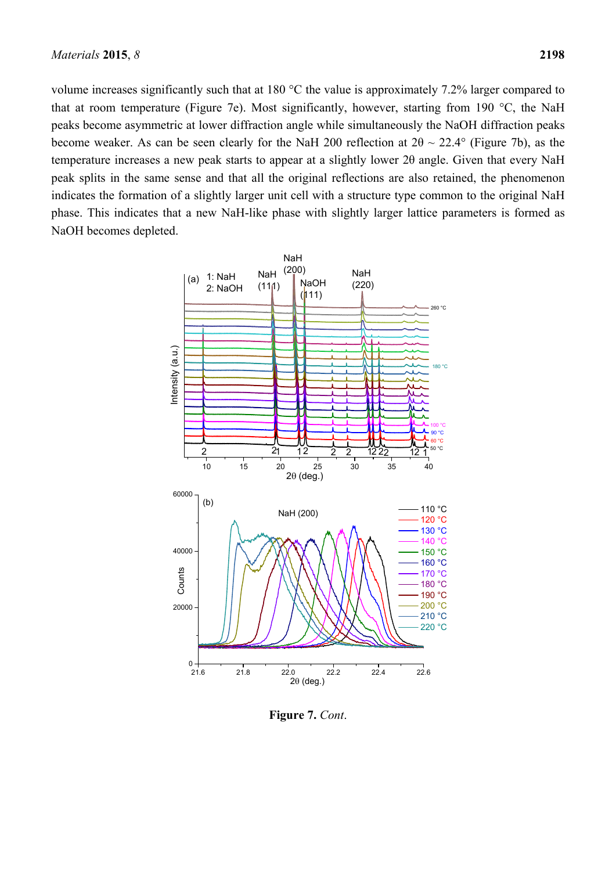volume increases significantly such that at 180 °C the value is approximately 7.2% larger compared to that at room temperature (Figure 7e). Most significantly, however, starting from 190 °C, the NaH peaks become asymmetric at lower diffraction angle while simultaneously the NaOH diffraction peaks become weaker. As can be seen clearly for the NaH 200 reflection at  $2\theta \sim 22.4^{\circ}$  (Figure 7b), as the temperature increases a new peak starts to appear at a slightly lower 2θ angle. Given that every NaH peak splits in the same sense and that all the original reflections are also retained, the phenomenon indicates the formation of a slightly larger unit cell with a structure type common to the original NaH phase. This indicates that a new NaH-like phase with slightly larger lattice parameters is formed as NaOH becomes depleted.



**Figure 7.** *Cont*.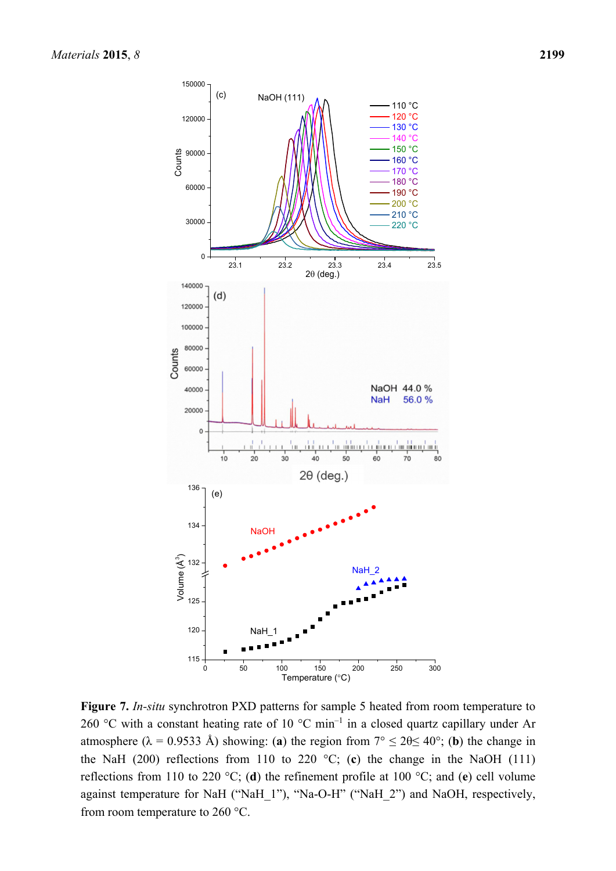

**Figure 7.** *In-situ* synchrotron PXD patterns for sample 5 heated from room temperature to 260 °C with a constant heating rate of 10 °C min<sup>-1</sup> in a closed quartz capillary under Ar atmosphere ( $\lambda = 0.9533$  Å) showing: (**a**) the region from  $7^{\circ} \le 20 \le 40^{\circ}$ ; (**b**) the change in the NaH (200) reflections from 110 to 220  $^{\circ}$ C; (c) the change in the NaOH (111) reflections from 110 to 220 °C; (**d**) the refinement profile at 100 °C; and (**e**) cell volume against temperature for NaH ("NaH\_1"), "Na-O-H" ("NaH\_2") and NaOH, respectively, from room temperature to 260 °C.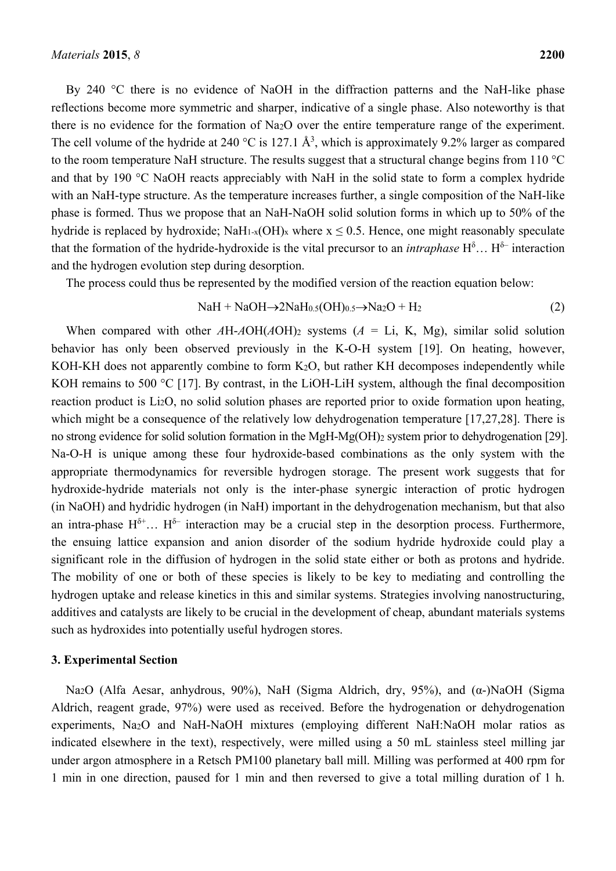By 240 °C there is no evidence of NaOH in the diffraction patterns and the NaH-like phase reflections become more symmetric and sharper, indicative of a single phase. Also noteworthy is that there is no evidence for the formation of Na2O over the entire temperature range of the experiment. The cell volume of the hydride at 240 °C is 127.1  $\AA^3$ , which is approximately 9.2% larger as compared to the room temperature NaH structure. The results suggest that a structural change begins from 110 °C and that by 190 °C NaOH reacts appreciably with NaH in the solid state to form a complex hydride with an NaH-type structure. As the temperature increases further, a single composition of the NaH-like phase is formed. Thus we propose that an NaH-NaOH solid solution forms in which up to 50% of the hydride is replaced by hydroxide; NaH<sub>1-x</sub>(OH)<sub>x</sub> where  $x \le 0.5$ . Hence, one might reasonably speculate that the formation of the hydride-hydroxide is the vital precursor to an *intraphase*  $H^{\delta}$ ...  $H^{\delta-}$  interaction and the hydrogen evolution step during desorption.

The process could thus be represented by the modified version of the reaction equation below:

$$
NaH + NaOH \rightarrow 2NaH_{0.5}(OH)_{0.5} \rightarrow Na_2O + H_2
$$
 (2)

When compared with other  $A H - A O H (A O H)$ <sub>2</sub> systems ( $A = L$ i, K, Mg), similar solid solution behavior has only been observed previously in the K-O-H system [19]. On heating, however, KOH-KH does not apparently combine to form K<sub>2</sub>O, but rather KH decomposes independently while KOH remains to 500 °C [17]. By contrast, in the LiOH-LiH system, although the final decomposition reaction product is Li2O, no solid solution phases are reported prior to oxide formation upon heating, which might be a consequence of the relatively low dehydrogenation temperature [17,27,28]. There is no strong evidence for solid solution formation in the MgH-Mg(OH)2 system prior to dehydrogenation [29]. Na-O-H is unique among these four hydroxide-based combinations as the only system with the appropriate thermodynamics for reversible hydrogen storage. The present work suggests that for hydroxide-hydride materials not only is the inter-phase synergic interaction of protic hydrogen (in NaOH) and hydridic hydrogen (in NaH) important in the dehydrogenation mechanism, but that also an intra-phase  $H^{\delta+}$ ...  $H^{\delta-}$  interaction may be a crucial step in the desorption process. Furthermore, the ensuing lattice expansion and anion disorder of the sodium hydride hydroxide could play a significant role in the diffusion of hydrogen in the solid state either or both as protons and hydride. The mobility of one or both of these species is likely to be key to mediating and controlling the hydrogen uptake and release kinetics in this and similar systems. Strategies involving nanostructuring, additives and catalysts are likely to be crucial in the development of cheap, abundant materials systems such as hydroxides into potentially useful hydrogen stores.

#### **3. Experimental Section**

Na2O (Alfa Aesar, anhydrous, 90%), NaH (Sigma Aldrich, dry, 95%), and (α-)NaOH (Sigma Aldrich, reagent grade, 97%) were used as received. Before the hydrogenation or dehydrogenation experiments, Na2O and NaH-NaOH mixtures (employing different NaH:NaOH molar ratios as indicated elsewhere in the text), respectively, were milled using a 50 mL stainless steel milling jar under argon atmosphere in a Retsch PM100 planetary ball mill. Milling was performed at 400 rpm for 1 min in one direction, paused for 1 min and then reversed to give a total milling duration of 1 h.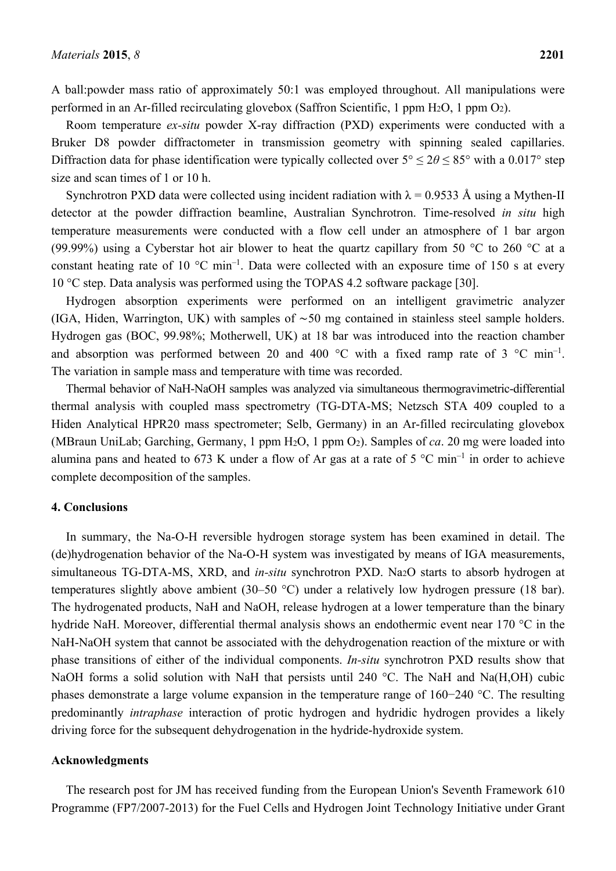A ball:powder mass ratio of approximately 50:1 was employed throughout. All manipulations were performed in an Ar-filled recirculating glovebox (Saffron Scientific, 1 ppm H2O, 1 ppm O2).

Room temperature *ex-situ* powder X-ray diffraction (PXD) experiments were conducted with a Bruker D8 powder diffractometer in transmission geometry with spinning sealed capillaries. Diffraction data for phase identification were typically collected over  $5^{\circ} \le 2\theta \le 85^{\circ}$  with a 0.017° step size and scan times of 1 or 10 h.

Synchrotron PXD data were collected using incident radiation with  $\lambda = 0.9533$  Å using a Mythen-II detector at the powder diffraction beamline, Australian Synchrotron. Time-resolved *in situ* high temperature measurements were conducted with a flow cell under an atmosphere of 1 bar argon (99.99%) using a Cyberstar hot air blower to heat the quartz capillary from 50  $\degree$ C to 260  $\degree$ C at a constant heating rate of 10  $^{\circ}$ C min<sup>-1</sup>. Data were collected with an exposure time of 150 s at every 10 °C step. Data analysis was performed using the TOPAS 4.2 software package [30].

Hydrogen absorption experiments were performed on an intelligent gravimetric analyzer (IGA, Hiden, Warrington, UK) with samples of ∼50 mg contained in stainless steel sample holders. Hydrogen gas (BOC, 99.98%; Motherwell, UK) at 18 bar was introduced into the reaction chamber and absorption was performed between 20 and 400  $^{\circ}$ C with a fixed ramp rate of 3  $^{\circ}$ C min<sup>-1</sup>. The variation in sample mass and temperature with time was recorded.

Thermal behavior of NaH-NaOH samples was analyzed via simultaneous thermogravimetric-differential thermal analysis with coupled mass spectrometry (TG-DTA-MS; Netzsch STA 409 coupled to a Hiden Analytical HPR20 mass spectrometer; Selb, Germany) in an Ar-filled recirculating glovebox (MBraun UniLab; Garching, Germany, 1 ppm H2O, 1 ppm O2). Samples of *ca*. 20 mg were loaded into alumina pans and heated to 673 K under a flow of Ar gas at a rate of 5  $^{\circ}$ C min<sup>-1</sup> in order to achieve complete decomposition of the samples.

## **4. Conclusions**

In summary, the Na-O-H reversible hydrogen storage system has been examined in detail. The (de)hydrogenation behavior of the Na-O-H system was investigated by means of IGA measurements, simultaneous TG-DTA-MS, XRD, and *in-situ* synchrotron PXD. Na<sub>2</sub>O starts to absorb hydrogen at temperatures slightly above ambient (30–50 °C) under a relatively low hydrogen pressure (18 bar). The hydrogenated products, NaH and NaOH, release hydrogen at a lower temperature than the binary hydride NaH. Moreover, differential thermal analysis shows an endothermic event near 170 °C in the NaH-NaOH system that cannot be associated with the dehydrogenation reaction of the mixture or with phase transitions of either of the individual components. *In-situ* synchrotron PXD results show that NaOH forms a solid solution with NaH that persists until 240  $^{\circ}$ C. The NaH and Na(H,OH) cubic phases demonstrate a large volume expansion in the temperature range of 160−240 °C. The resulting predominantly *intraphase* interaction of protic hydrogen and hydridic hydrogen provides a likely driving force for the subsequent dehydrogenation in the hydride-hydroxide system.

#### **Acknowledgments**

The research post for JM has received funding from the European Union's Seventh Framework 610 Programme (FP7/2007-2013) for the Fuel Cells and Hydrogen Joint Technology Initiative under Grant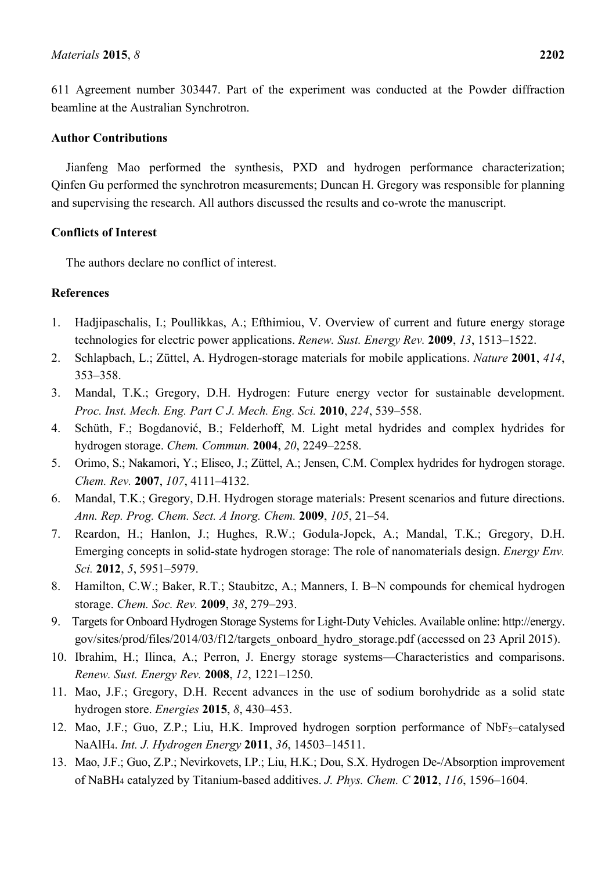# **Author Contributions**

beamline at the Australian Synchrotron.

Jianfeng Mao performed the synthesis, PXD and hydrogen performance characterization; Qinfen Gu performed the synchrotron measurements; Duncan H. Gregory was responsible for planning and supervising the research. All authors discussed the results and co-wrote the manuscript.

# **Conflicts of Interest**

The authors declare no conflict of interest.

# **References**

- 1. Hadjipaschalis, I.; Poullikkas, A.; Efthimiou, V. Overview of current and future energy storage technologies for electric power applications. *Renew. Sust. Energy Rev.* **2009**, *13*, 1513–1522.
- 2. Schlapbach, L.; Züttel, A. Hydrogen-storage materials for mobile applications. *Nature* **2001**, *414*, 353–358.
- 3. Mandal, T.K.; Gregory, D.H. Hydrogen: Future energy vector for sustainable development. *Proc. Inst. Mech. Eng. Part C J. Mech. Eng. Sci.* **2010**, *224*, 539–558.
- 4. Schüth, F.; Bogdanović, B.; Felderhoff, M. Light metal hydrides and complex hydrides for hydrogen storage. *Chem. Commun.* **2004**, *20*, 2249–2258.
- 5. Orimo, S.; Nakamori, Y.; Eliseo, J.; Züttel, A.; Jensen, C.M. Complex hydrides for hydrogen storage. *Chem. Rev.* **2007**, *107*, 4111–4132.
- 6. Mandal, T.K.; Gregory, D.H. Hydrogen storage materials: Present scenarios and future directions. *Ann. Rep. Prog. Chem. Sect. A Inorg. Chem.* **2009**, *105*, 21–54.
- 7. Reardon, H.; Hanlon, J.; Hughes, R.W.; Godula-Jopek, A.; Mandal, T.K.; Gregory, D.H. Emerging concepts in solid-state hydrogen storage: The role of nanomaterials design. *Energy Env. Sci.* **2012**, *5*, 5951–5979.
- 8. Hamilton, C.W.; Baker, R.T.; Staubitzc, A.; Manners, I. B-N compounds for chemical hydrogen storage. *Chem. Soc. Rev.* **2009**, *38*, 279–293.
- 9. Targets for Onboard Hydrogen Storage Systems for Light-Duty Vehicles. Available online: http://energy. gov/sites/prod/files/2014/03/f12/targets\_onboard\_hydro\_storage.pdf (accessed on 23 April 2015).
- 10. Ibrahim, H.; Ilinca, A.; Perron, J. Energy storage systems—Characteristics and comparisons. *Renew. Sust. Energy Rev.* **2008**, *12*, 1221–1250.
- 11. Mao, J.F.; Gregory, D.H. Recent advances in the use of sodium borohydride as a solid state hydrogen store. *Energies* **2015**, *8*, 430–453.
- 12. Mao, J.F.; Guo, Z.P.; Liu, H.K. Improved hydrogen sorption performance of NbF<sub>5</sub>-catalysed NaAlH4. *Int. J. Hydrogen Energy* **2011**, *36*, 14503–14511.
- 13. Mao, J.F.; Guo, Z.P.; Nevirkovets, I.P.; Liu, H.K.; Dou, S.X. Hydrogen De-/Absorption improvement of NaBH4 catalyzed by Titanium-based additives. *J. Phys. Chem. C* **2012**, *116*, 1596–1604.